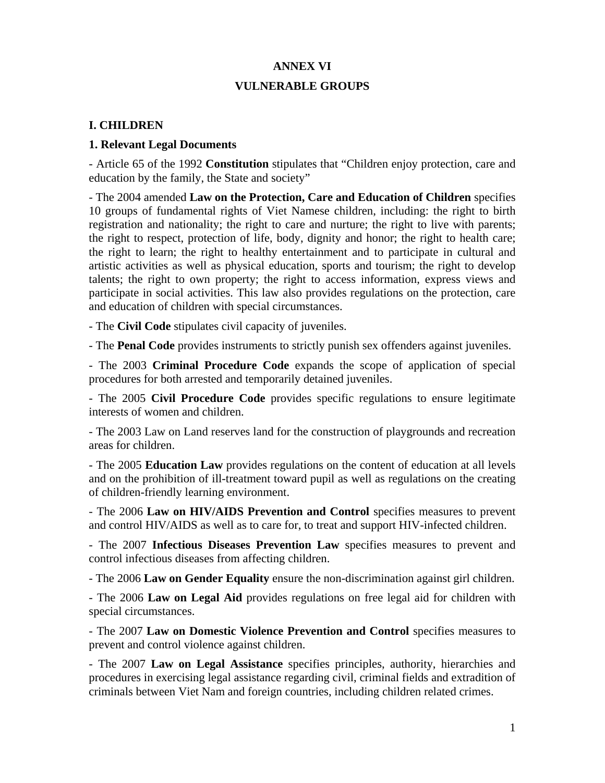# **ANNEX VI VULNERABLE GROUPS**

#### **I. CHILDREN**

#### **1. Relevant Legal Documents**

- Article 65 of the 1992 **Constitution** stipulates that "Children enjoy protection, care and education by the family, the State and society"

- The 2004 amended **Law on the Protection, Care and Education of Children** specifies 10 groups of fundamental rights of Viet Namese children, including: the right to birth registration and nationality; the right to care and nurture; the right to live with parents; the right to respect, protection of life, body, dignity and honor; the right to health care; the right to learn; the right to healthy entertainment and to participate in cultural and artistic activities as well as physical education, sports and tourism; the right to develop talents; the right to own property; the right to access information, express views and participate in social activities. This law also provides regulations on the protection, care and education of children with special circumstances.

- The **Civil Code** stipulates civil capacity of juveniles.

- The **Penal Code** provides instruments to strictly punish sex offenders against juveniles.

- The 2003 **Criminal Procedure Code** expands the scope of application of special procedures for both arrested and temporarily detained juveniles.

- The 2005 **Civil Procedure Code** provides specific regulations to ensure legitimate interests of women and children.

- The 2003 Law on Land reserves land for the construction of playgrounds and recreation areas for children.

- The 2005 **Education Law** provides regulations on the content of education at all levels and on the prohibition of ill-treatment toward pupil as well as regulations on the creating of children-friendly learning environment.

- The 2006 **Law on HIV/AIDS Prevention and Control** specifies measures to prevent and control HIV/AIDS as well as to care for, to treat and support HIV-infected children.

- The 2007 **Infectious Diseases Prevention Law** specifies measures to prevent and control infectious diseases from affecting children.

- The 2006 **Law on Gender Equality** ensure the non-discrimination against girl children.

- The 2006 **Law on Legal Aid** provides regulations on free legal aid for children with special circumstances.

- The 2007 **Law on Domestic Violence Prevention and Control** specifies measures to prevent and control violence against children.

- The 2007 **Law on Legal Assistance** specifies principles, authority, hierarchies and procedures in exercising legal assistance regarding civil, criminal fields and extradition of criminals between Viet Nam and foreign countries, including children related crimes.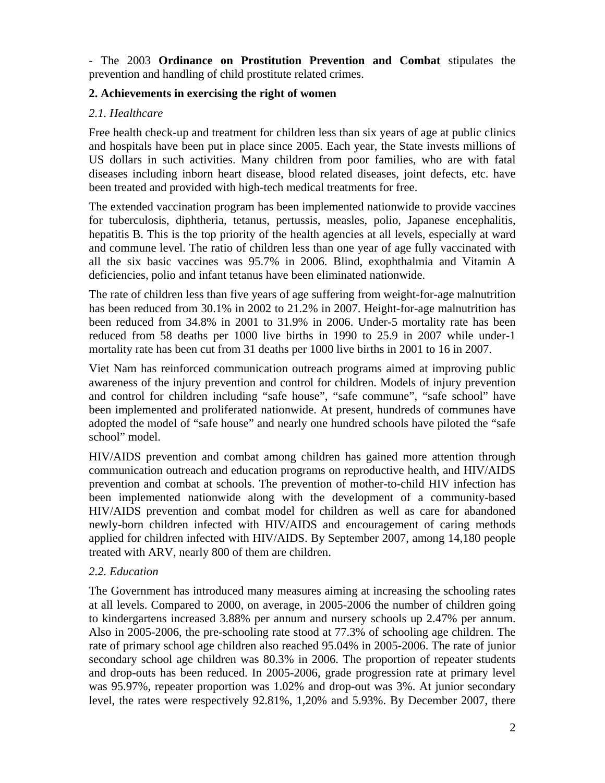- The 2003 **Ordinance on Prostitution Prevention and Combat** stipulates the prevention and handling of child prostitute related crimes.

### **2. Achievements in exercising the right of women**

## *2.1. Healthcare*

Free health check-up and treatment for children less than six years of age at public clinics and hospitals have been put in place since 2005. Each year, the State invests millions of US dollars in such activities. Many children from poor families, who are with fatal diseases including inborn heart disease, blood related diseases, joint defects, etc. have been treated and provided with high-tech medical treatments for free.

The extended vaccination program has been implemented nationwide to provide vaccines for tuberculosis, diphtheria, tetanus, pertussis, measles, polio, Japanese encephalitis, hepatitis B. This is the top priority of the health agencies at all levels, especially at ward and commune level. The ratio of children less than one year of age fully vaccinated with all the six basic vaccines was 95.7% in 2006. Blind, exophthalmia and Vitamin A deficiencies, polio and infant tetanus have been eliminated nationwide.

The rate of children less than five years of age suffering from weight-for-age malnutrition has been reduced from 30.1% in 2002 to 21.2% in 2007. Height-for-age malnutrition has been reduced from 34.8% in 2001 to 31.9% in 2006. Under-5 mortality rate has been reduced from 58 deaths per 1000 live births in 1990 to 25.9 in 2007 while under-1 mortality rate has been cut from 31 deaths per 1000 live births in 2001 to 16 in 2007.

Viet Nam has reinforced communication outreach programs aimed at improving public awareness of the injury prevention and control for children. Models of injury prevention and control for children including "safe house", "safe commune", "safe school" have been implemented and proliferated nationwide. At present, hundreds of communes have adopted the model of "safe house" and nearly one hundred schools have piloted the "safe school" model.

HIV/AIDS prevention and combat among children has gained more attention through communication outreach and education programs on reproductive health, and HIV/AIDS prevention and combat at schools. The prevention of mother-to-child HIV infection has been implemented nationwide along with the development of a community-based HIV/AIDS prevention and combat model for children as well as care for abandoned newly-born children infected with HIV/AIDS and encouragement of caring methods applied for children infected with HIV/AIDS. By September 2007, among 14,180 people treated with ARV, nearly 800 of them are children.

# *2.2. Education*

The Government has introduced many measures aiming at increasing the schooling rates at all levels. Compared to 2000, on average, in 2005-2006 the number of children going to kindergartens increased 3.88% per annum and nursery schools up 2.47% per annum. Also in 2005-2006, the pre-schooling rate stood at 77.3% of schooling age children. The rate of primary school age children also reached 95.04% in 2005-2006. The rate of junior secondary school age children was 80.3% in 2006. The proportion of repeater students and drop-outs has been reduced. In 2005-2006, grade progression rate at primary level was 95.97%, repeater proportion was 1.02% and drop-out was 3%. At junior secondary level, the rates were respectively 92.81%, 1,20% and 5.93%. By December 2007, there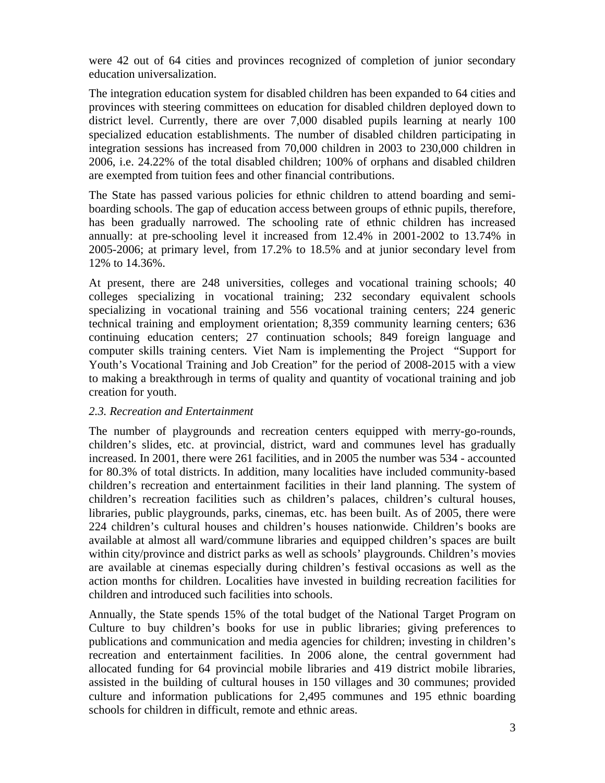were 42 out of 64 cities and provinces recognized of completion of junior secondary education universalization.

The integration education system for disabled children has been expanded to 64 cities and provinces with steering committees on education for disabled children deployed down to district level. Currently, there are over 7,000 disabled pupils learning at nearly 100 specialized education establishments. The number of disabled children participating in integration sessions has increased from 70,000 children in 2003 to 230,000 children in 2006, i.e. 24.22% of the total disabled children; 100% of orphans and disabled children are exempted from tuition fees and other financial contributions.

The State has passed various policies for ethnic children to attend boarding and semiboarding schools. The gap of education access between groups of ethnic pupils, therefore, has been gradually narrowed. The schooling rate of ethnic children has increased annually: at pre-schooling level it increased from 12.4% in 2001-2002 to 13.74% in 2005-2006; at primary level, from 17.2% to 18.5% and at junior secondary level from 12% to 14.36%.

At present, there are 248 universities, colleges and vocational training schools; 40 colleges specializing in vocational training; 232 secondary equivalent schools specializing in vocational training and 556 vocational training centers; 224 generic technical training and employment orientation; 8,359 community learning centers; 636 continuing education centers; 27 continuation schools; 849 foreign language and computer skills training centers*.* Viet Nam is implementing the Project "Support for Youth's Vocational Training and Job Creation" for the period of 2008-2015 with a view to making a breakthrough in terms of quality and quantity of vocational training and job creation for youth.

#### *2.3. Recreation and Entertainment*

The number of playgrounds and recreation centers equipped with merry-go-rounds, children's slides, etc. at provincial, district, ward and communes level has gradually increased. In 2001, there were 261 facilities, and in 2005 the number was 534 - accounted for 80.3% of total districts. In addition, many localities have included community-based children's recreation and entertainment facilities in their land planning. The system of children's recreation facilities such as children's palaces, children's cultural houses, libraries, public playgrounds, parks, cinemas, etc. has been built. As of 2005, there were 224 children's cultural houses and children's houses nationwide. Children's books are available at almost all ward/commune libraries and equipped children's spaces are built within city/province and district parks as well as schools' playgrounds. Children's movies are available at cinemas especially during children's festival occasions as well as the action months for children. Localities have invested in building recreation facilities for children and introduced such facilities into schools.

Annually, the State spends 15% of the total budget of the National Target Program on Culture to buy children's books for use in public libraries; giving preferences to publications and communication and media agencies for children; investing in children's recreation and entertainment facilities. In 2006 alone, the central government had allocated funding for 64 provincial mobile libraries and 419 district mobile libraries, assisted in the building of cultural houses in 150 villages and 30 communes; provided culture and information publications for 2,495 communes and 195 ethnic boarding schools for children in difficult, remote and ethnic areas.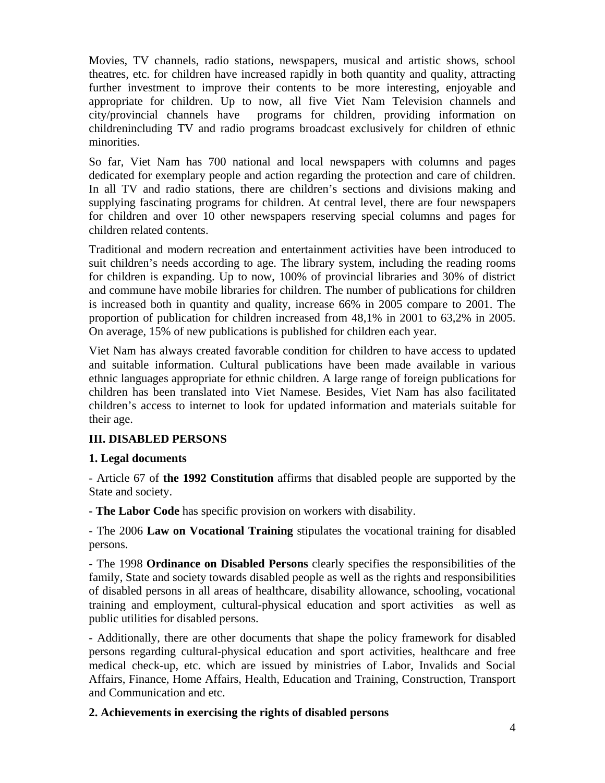Movies, TV channels, radio stations, newspapers, musical and artistic shows, school theatres, etc. for children have increased rapidly in both quantity and quality, attracting further investment to improve their contents to be more interesting, enjoyable and appropriate for children. Up to now, all five Viet Nam Television channels and city/provincial channels have programs for children, providing information on childrenincluding TV and radio programs broadcast exclusively for children of ethnic minorities.

So far, Viet Nam has 700 national and local newspapers with columns and pages dedicated for exemplary people and action regarding the protection and care of children. In all TV and radio stations, there are children's sections and divisions making and supplying fascinating programs for children. At central level, there are four newspapers for children and over 10 other newspapers reserving special columns and pages for children related contents.

Traditional and modern recreation and entertainment activities have been introduced to suit children's needs according to age. The library system, including the reading rooms for children is expanding. Up to now, 100% of provincial libraries and 30% of district and commune have mobile libraries for children. The number of publications for children is increased both in quantity and quality, increase 66% in 2005 compare to 2001. The proportion of publication for children increased from 48,1% in 2001 to 63,2% in 2005. On average, 15% of new publications is published for children each year.

Viet Nam has always created favorable condition for children to have access to updated and suitable information. Cultural publications have been made available in various ethnic languages appropriate for ethnic children. A large range of foreign publications for children has been translated into Viet Namese. Besides, Viet Nam has also facilitated children's access to internet to look for updated information and materials suitable for their age.

### **III. DISABLED PERSONS**

### **1. Legal documents**

- Article 67 of **the 1992 Constitution** affirms that disabled people are supported by the State and society.

**- The Labor Code** has specific provision on workers with disability.

- The 2006 **Law on Vocational Training** stipulates the vocational training for disabled persons.

- The 1998 **Ordinance on Disabled Persons** clearly specifies the responsibilities of the family, State and society towards disabled people as well as the rights and responsibilities of disabled persons in all areas of healthcare, disability allowance, schooling, vocational training and employment, cultural-physical education and sport activities as well as public utilities for disabled persons.

- Additionally, there are other documents that shape the policy framework for disabled persons regarding cultural-physical education and sport activities, healthcare and free medical check-up, etc. which are issued by ministries of Labor, Invalids and Social Affairs, Finance, Home Affairs, Health, Education and Training, Construction, Transport and Communication and etc.

### **2. Achievements in exercising the rights of disabled persons**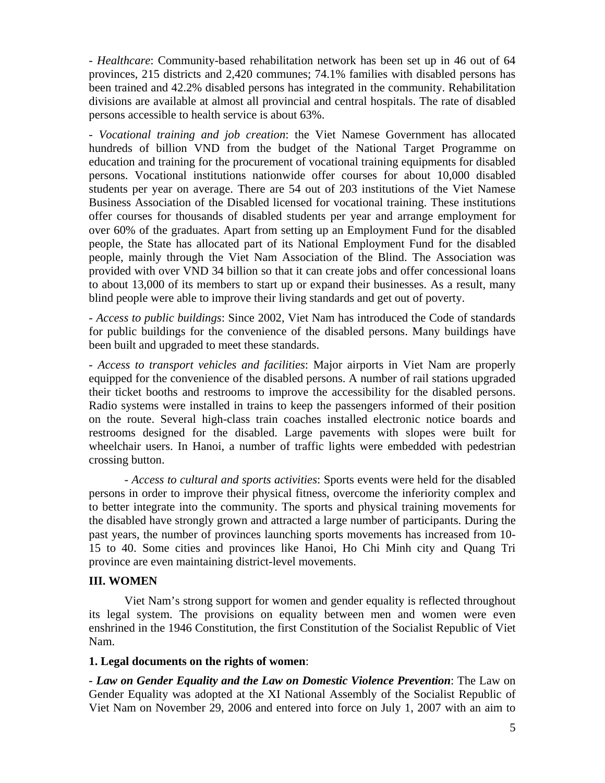*- Healthcare*: Community-based rehabilitation network has been set up in 46 out of 64 provinces, 215 districts and 2,420 communes; 74.1% families with disabled persons has been trained and 42.2% disabled persons has integrated in the community. Rehabilitation divisions are available at almost all provincial and central hospitals. The rate of disabled persons accessible to health service is about 63%.

- *Vocational training and job creation*: the Viet Namese Government has allocated hundreds of billion VND from the budget of the National Target Programme on education and training for the procurement of vocational training equipments for disabled persons. Vocational institutions nationwide offer courses for about 10,000 disabled students per year on average. There are 54 out of 203 institutions of the Viet Namese Business Association of the Disabled licensed for vocational training. These institutions offer courses for thousands of disabled students per year and arrange employment for over 60% of the graduates. Apart from setting up an Employment Fund for the disabled people, the State has allocated part of its National Employment Fund for the disabled people, mainly through the Viet Nam Association of the Blind. The Association was provided with over VND 34 billion so that it can create jobs and offer concessional loans to about 13,000 of its members to start up or expand their businesses. As a result, many blind people were able to improve their living standards and get out of poverty.

- *Access to public buildings*: Since 2002, Viet Nam has introduced the Code of standards for public buildings for the convenience of the disabled persons. Many buildings have been built and upgraded to meet these standards.

- *Access to transport vehicles and facilities*: Major airports in Viet Nam are properly equipped for the convenience of the disabled persons. A number of rail stations upgraded their ticket booths and restrooms to improve the accessibility for the disabled persons. Radio systems were installed in trains to keep the passengers informed of their position on the route. Several high-class train coaches installed electronic notice boards and restrooms designed for the disabled. Large pavements with slopes were built for wheelchair users. In Hanoi, a number of traffic lights were embedded with pedestrian crossing button.

- *Access to cultural and sports activities*: Sports events were held for the disabled persons in order to improve their physical fitness, overcome the inferiority complex and to better integrate into the community. The sports and physical training movements for the disabled have strongly grown and attracted a large number of participants. During the past years, the number of provinces launching sports movements has increased from 10- 15 to 40. Some cities and provinces like Hanoi, Ho Chi Minh city and Quang Tri province are even maintaining district-level movements.

#### **III. WOMEN**

Viet Nam's strong support for women and gender equality is reflected throughout its legal system. The provisions on equality between men and women were even enshrined in the 1946 Constitution, the first Constitution of the Socialist Republic of Viet Nam.

#### **1. Legal documents on the rights of women**:

*- Law on Gender Equality and the Law on Domestic Violence Prevention*: The Law on Gender Equality was adopted at the XI National Assembly of the Socialist Republic of Viet Nam on November 29, 2006 and entered into force on July 1, 2007 with an aim to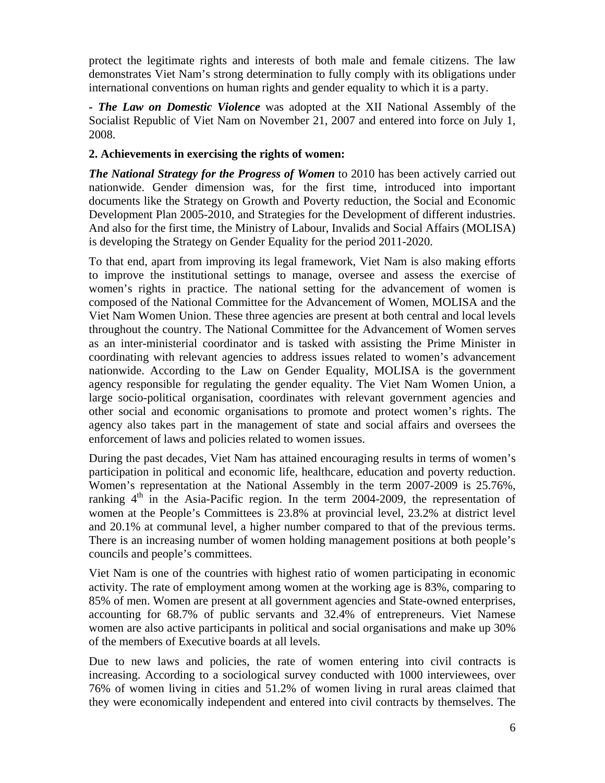protect the legitimate rights and interests of both male and female citizens. The law demonstrates Viet Nam's strong determination to fully comply with its obligations under international conventions on human rights and gender equality to which it is a party.

*- The Law on Domestic Violence* was adopted at the XII National Assembly of the Socialist Republic of Viet Nam on November 21, 2007 and entered into force on July 1, 2008.

### **2. Achievements in exercising the rights of women:**

*The National Strategy for the Progress of Women* to 2010 has been actively carried out nationwide. Gender dimension was, for the first time, introduced into important documents like the Strategy on Growth and Poverty reduction, the Social and Economic Development Plan 2005-2010, and Strategies for the Development of different industries. And also for the first time, the Ministry of Labour, Invalids and Social Affairs (MOLISA) is developing the Strategy on Gender Equality for the period 2011-2020.

To that end, apart from improving its legal framework, Viet Nam is also making efforts to improve the institutional settings to manage, oversee and assess the exercise of women's rights in practice. The national setting for the advancement of women is composed of the National Committee for the Advancement of Women, MOLISA and the Viet Nam Women Union. These three agencies are present at both central and local levels throughout the country. The National Committee for the Advancement of Women serves as an inter-ministerial coordinator and is tasked with assisting the Prime Minister in coordinating with relevant agencies to address issues related to women's advancement nationwide. According to the Law on Gender Equality, MOLISA is the government agency responsible for regulating the gender equality. The Viet Nam Women Union, a large socio-political organisation, coordinates with relevant government agencies and other social and economic organisations to promote and protect women's rights. The agency also takes part in the management of state and social affairs and oversees the enforcement of laws and policies related to women issues.

During the past decades, Viet Nam has attained encouraging results in terms of women's participation in political and economic life, healthcare, education and poverty reduction. Women's representation at the National Assembly in the term 2007-2009 is 25.76%, ranking  $4<sup>th</sup>$  in the Asia-Pacific region. In the term 2004-2009, the representation of women at the People's Committees is 23.8% at provincial level, 23.2% at district level and 20.1% at communal level, a higher number compared to that of the previous terms. There is an increasing number of women holding management positions at both people's councils and people's committees.

Viet Nam is one of the countries with highest ratio of women participating in economic activity. The rate of employment among women at the working age is 83%, comparing to 85% of men. Women are present at all government agencies and State-owned enterprises, accounting for 68.7% of public servants and 32.4% of entrepreneurs. Viet Namese women are also active participants in political and social organisations and make up 30% of the members of Executive boards at all levels.

Due to new laws and policies, the rate of women entering into civil contracts is increasing. According to a sociological survey conducted with 1000 interviewees, over 76% of women living in cities and 51.2% of women living in rural areas claimed that they were economically independent and entered into civil contracts by themselves. The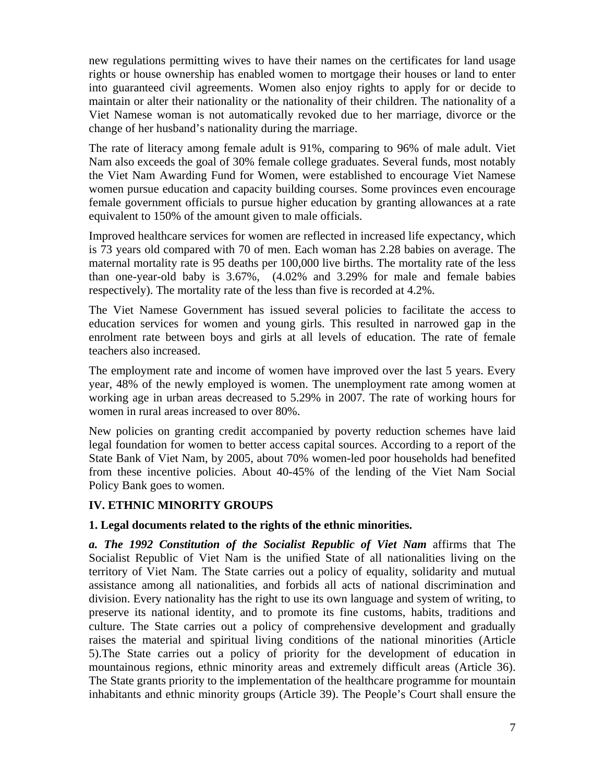new regulations permitting wives to have their names on the certificates for land usage rights or house ownership has enabled women to mortgage their houses or land to enter into guaranteed civil agreements. Women also enjoy rights to apply for or decide to maintain or alter their nationality or the nationality of their children. The nationality of a Viet Namese woman is not automatically revoked due to her marriage, divorce or the change of her husband's nationality during the marriage.

The rate of literacy among female adult is 91%, comparing to 96% of male adult. Viet Nam also exceeds the goal of 30% female college graduates. Several funds, most notably the Viet Nam Awarding Fund for Women, were established to encourage Viet Namese women pursue education and capacity building courses. Some provinces even encourage female government officials to pursue higher education by granting allowances at a rate equivalent to 150% of the amount given to male officials.

Improved healthcare services for women are reflected in increased life expectancy, which is 73 years old compared with 70 of men. Each woman has 2.28 babies on average. The maternal mortality rate is 95 deaths per 100,000 live births. The mortality rate of the less than one-year-old baby is 3.67%, (4.02% and 3.29% for male and female babies respectively). The mortality rate of the less than five is recorded at 4.2%.

The Viet Namese Government has issued several policies to facilitate the access to education services for women and young girls. This resulted in narrowed gap in the enrolment rate between boys and girls at all levels of education. The rate of female teachers also increased.

The employment rate and income of women have improved over the last 5 years. Every year, 48% of the newly employed is women. The unemployment rate among women at working age in urban areas decreased to 5.29% in 2007. The rate of working hours for women in rural areas increased to over 80%.

New policies on granting credit accompanied by poverty reduction schemes have laid legal foundation for women to better access capital sources. According to a report of the State Bank of Viet Nam, by 2005, about 70% women-led poor households had benefited from these incentive policies. About 40-45% of the lending of the Viet Nam Social Policy Bank goes to women.

### **IV. ETHNIC MINORITY GROUPS**

### **1. Legal documents related to the rights of the ethnic minorities.**

*a. The 1992 Constitution of the Socialist Republic of Viet Nam* affirms that The Socialist Republic of Viet Nam is the unified State of all nationalities living on the territory of Viet Nam. The State carries out a policy of equality, solidarity and mutual assistance among all nationalities, and forbids all acts of national discrimination and division. Every nationality has the right to use its own language and system of writing, to preserve its national identity, and to promote its fine customs, habits, traditions and culture. The State carries out a policy of comprehensive development and gradually raises the material and spiritual living conditions of the national minorities (Article 5).The State carries out a policy of priority for the development of education in mountainous regions, ethnic minority areas and extremely difficult areas (Article 36). The State grants priority to the implementation of the healthcare programme for mountain inhabitants and ethnic minority groups (Article 39). The People's Court shall ensure the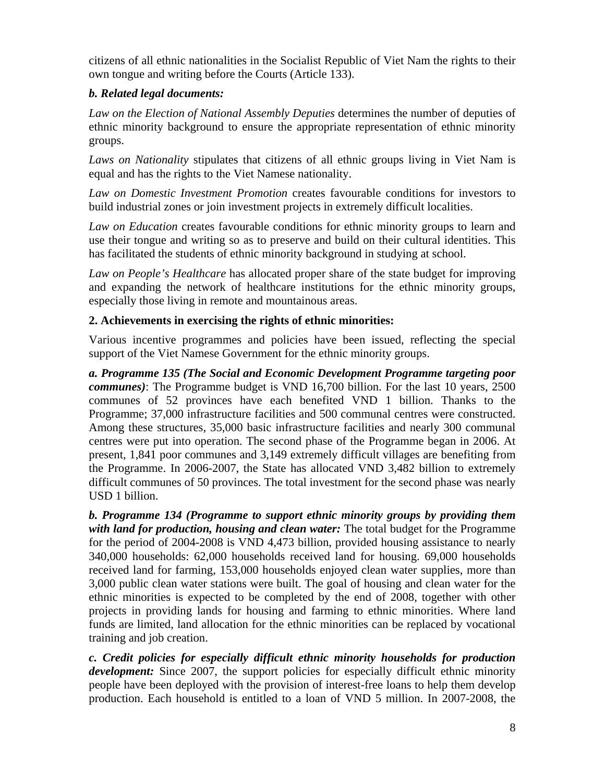citizens of all ethnic nationalities in the Socialist Republic of Viet Nam the rights to their own tongue and writing before the Courts (Article 133).

# *b. Related legal documents:*

*Law on the Election of National Assembly Deputies* determines the number of deputies of ethnic minority background to ensure the appropriate representation of ethnic minority groups.

*Laws on Nationality* stipulates that citizens of all ethnic groups living in Viet Nam is equal and has the rights to the Viet Namese nationality.

*Law on Domestic Investment Promotion* creates favourable conditions for investors to build industrial zones or join investment projects in extremely difficult localities.

*Law on Education* creates favourable conditions for ethnic minority groups to learn and use their tongue and writing so as to preserve and build on their cultural identities. This has facilitated the students of ethnic minority background in studying at school.

*Law on People's Healthcare* has allocated proper share of the state budget for improving and expanding the network of healthcare institutions for the ethnic minority groups, especially those living in remote and mountainous areas.

# **2. Achievements in exercising the rights of ethnic minorities:**

Various incentive programmes and policies have been issued, reflecting the special support of the Viet Namese Government for the ethnic minority groups.

*a. Programme 135 (The Social and Economic Development Programme targeting poor communes)*: The Programme budget is VND 16,700 billion. For the last 10 years, 2500 communes of 52 provinces have each benefited VND 1 billion. Thanks to the Programme; 37,000 infrastructure facilities and 500 communal centres were constructed. Among these structures, 35,000 basic infrastructure facilities and nearly 300 communal centres were put into operation. The second phase of the Programme began in 2006. At present, 1,841 poor communes and 3,149 extremely difficult villages are benefiting from the Programme. In 2006-2007, the State has allocated VND 3,482 billion to extremely difficult communes of 50 provinces. The total investment for the second phase was nearly USD 1 billion.

*b. Programme 134 (Programme to support ethnic minority groups by providing them with land for production, housing and clean water:* The total budget for the Programme for the period of 2004-2008 is VND 4,473 billion, provided housing assistance to nearly 340,000 households: 62,000 households received land for housing. 69,000 households received land for farming, 153,000 households enjoyed clean water supplies, more than 3,000 public clean water stations were built. The goal of housing and clean water for the ethnic minorities is expected to be completed by the end of 2008, together with other projects in providing lands for housing and farming to ethnic minorities. Where land funds are limited, land allocation for the ethnic minorities can be replaced by vocational training and job creation.

*c. Credit policies for especially difficult ethnic minority households for production development:* Since 2007, the support policies for especially difficult ethnic minority people have been deployed with the provision of interest-free loans to help them develop production. Each household is entitled to a loan of VND 5 million. In 2007-2008, the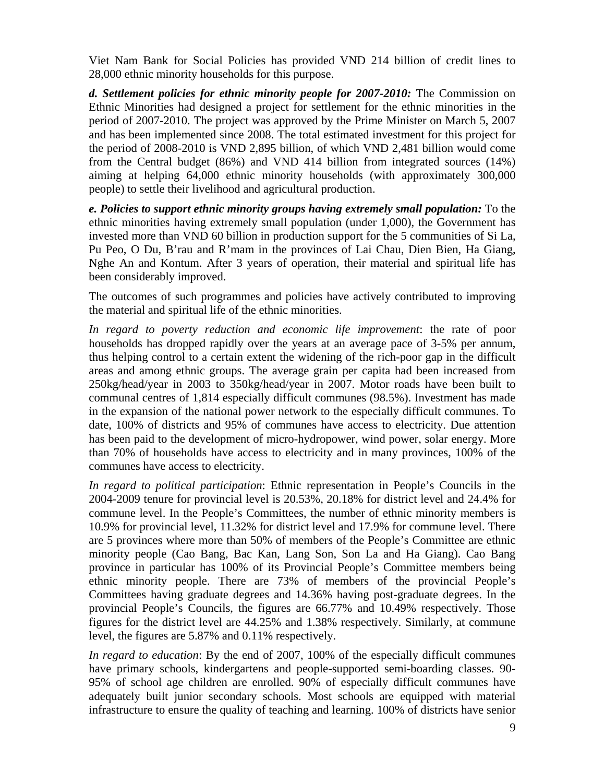Viet Nam Bank for Social Policies has provided VND 214 billion of credit lines to 28,000 ethnic minority households for this purpose.

*d. Settlement policies for ethnic minority people for 2007-2010:* The Commission on Ethnic Minorities had designed a project for settlement for the ethnic minorities in the period of 2007-2010. The project was approved by the Prime Minister on March 5, 2007 and has been implemented since 2008. The total estimated investment for this project for the period of 2008-2010 is VND 2,895 billion, of which VND 2,481 billion would come from the Central budget (86%) and VND 414 billion from integrated sources (14%) aiming at helping 64,000 ethnic minority households (with approximately 300,000 people) to settle their livelihood and agricultural production.

*e. Policies to support ethnic minority groups having extremely small population:* To the ethnic minorities having extremely small population (under 1,000), the Government has invested more than VND 60 billion in production support for the 5 communities of Si La, Pu Peo, O Du, B'rau and R'mam in the provinces of Lai Chau, Dien Bien, Ha Giang, Nghe An and Kontum. After 3 years of operation, their material and spiritual life has been considerably improved.

The outcomes of such programmes and policies have actively contributed to improving the material and spiritual life of the ethnic minorities.

*In regard to poverty reduction and economic life improvement*: the rate of poor households has dropped rapidly over the years at an average pace of 3-5% per annum, thus helping control to a certain extent the widening of the rich-poor gap in the difficult areas and among ethnic groups. The average grain per capita had been increased from 250kg/head/year in 2003 to 350kg/head/year in 2007. Motor roads have been built to communal centres of 1,814 especially difficult communes (98.5%). Investment has made in the expansion of the national power network to the especially difficult communes. To date, 100% of districts and 95% of communes have access to electricity. Due attention has been paid to the development of micro-hydropower, wind power, solar energy. More than 70% of households have access to electricity and in many provinces, 100% of the communes have access to electricity.

*In regard to political participation*: Ethnic representation in People's Councils in the 2004-2009 tenure for provincial level is 20.53%, 20.18% for district level and 24.4% for commune level. In the People's Committees, the number of ethnic minority members is 10.9% for provincial level, 11.32% for district level and 17.9% for commune level. There are 5 provinces where more than 50% of members of the People's Committee are ethnic minority people (Cao Bang, Bac Kan, Lang Son, Son La and Ha Giang). Cao Bang province in particular has 100% of its Provincial People's Committee members being ethnic minority people. There are 73% of members of the provincial People's Committees having graduate degrees and 14.36% having post-graduate degrees. In the provincial People's Councils, the figures are 66.77% and 10.49% respectively. Those figures for the district level are 44.25% and 1.38% respectively. Similarly, at commune level, the figures are 5.87% and 0.11% respectively.

*In regard to education*: By the end of 2007, 100% of the especially difficult communes have primary schools, kindergartens and people-supported semi-boarding classes. 90- 95% of school age children are enrolled. 90% of especially difficult communes have adequately built junior secondary schools. Most schools are equipped with material infrastructure to ensure the quality of teaching and learning. 100% of districts have senior